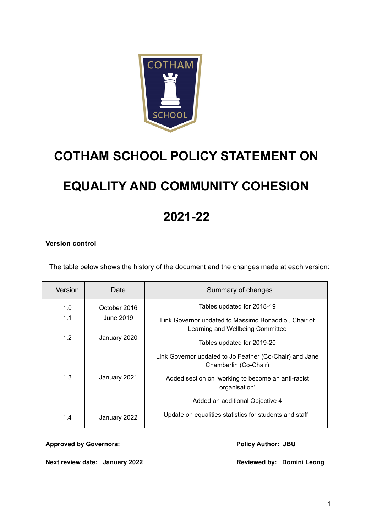

# **COTHAM SCHOOL POLICY STATEMENT ON**

# **EQUALITY AND COMMUNITY COHESION**

## **2021-22**

## **Version control**

The table below shows the history of the document and the changes made at each version:

| Version | Date         | Summary of changes                                                                      |
|---------|--------------|-----------------------------------------------------------------------------------------|
| 1.0     | October 2016 | Tables updated for 2018-19                                                              |
| 1.1     | June 2019    | Link Governor updated to Massimo Bonaddio, Chair of<br>Learning and Wellbeing Committee |
| 1.2     | January 2020 | Tables updated for 2019-20                                                              |
|         |              | Link Governor updated to Jo Feather (Co-Chair) and Jane<br>Chamberlin (Co-Chair)        |
| 1.3     | January 2021 | Added section on 'working to become an anti-racist<br>organisation'                     |
|         |              | Added an additional Objective 4                                                         |
| 1.4     | January 2022 | Update on equalities statistics for students and staff                                  |

**Approved by Governors: Policy Author: JBU**

**Next review date: January 2022 Reviewed by: Domini Leong**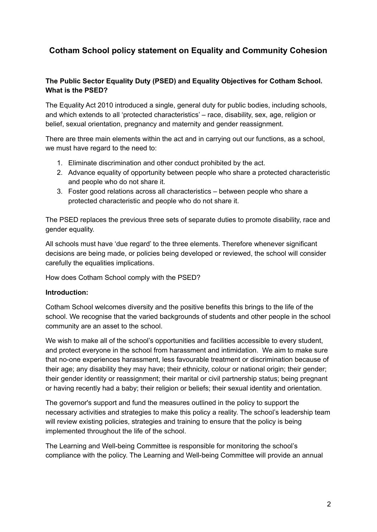## **Cotham School policy statement on Equality and Community Cohesion**

## **The Public Sector Equality Duty (PSED) and Equality Objectives for Cotham School. What is the PSED?**

The Equality Act 2010 introduced a single, general duty for public bodies, including schools, and which extends to all 'protected characteristics' – race, disability, sex, age, religion or belief, sexual orientation, pregnancy and maternity and gender reassignment.

There are three main elements within the act and in carrying out our functions, as a school, we must have regard to the need to:

- 1. Eliminate discrimination and other conduct prohibited by the act.
- 2. Advance equality of opportunity between people who share a protected characteristic and people who do not share it.
- 3. Foster good relations across all characteristics between people who share a protected characteristic and people who do not share it.

The PSED replaces the previous three sets of separate duties to promote disability, race and gender equality.

All schools must have 'due regard' to the three elements. Therefore whenever significant decisions are being made, or policies being developed or reviewed, the school will consider carefully the equalities implications.

How does Cotham School comply with the PSED?

### **Introduction:**

Cotham School welcomes diversity and the positive benefits this brings to the life of the school. We recognise that the varied backgrounds of students and other people in the school community are an asset to the school.

We wish to make all of the school's opportunities and facilities accessible to every student, and protect everyone in the school from harassment and intimidation. We aim to make sure that no-one experiences harassment, less favourable treatment or discrimination because of their age; any disability they may have; their ethnicity, colour or national origin; their gender; their gender identity or reassignment; their marital or civil partnership status; being pregnant or having recently had a baby; their religion or beliefs; their sexual identity and orientation.

The governor's support and fund the measures outlined in the policy to support the necessary activities and strategies to make this policy a reality. The school's leadership team will review existing policies, strategies and training to ensure that the policy is being implemented throughout the life of the school.

The Learning and Well-being Committee is responsible for monitoring the school's compliance with the policy. The Learning and Well-being Committee will provide an annual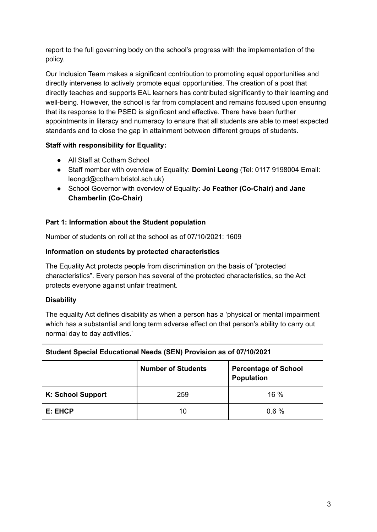report to the full governing body on the school's progress with the implementation of the policy.

Our Inclusion Team makes a significant contribution to promoting equal opportunities and directly intervenes to actively promote equal opportunities. The creation of a post that directly teaches and supports EAL learners has contributed significantly to their learning and well-being. However, the school is far from complacent and remains focused upon ensuring that its response to the PSED is significant and effective. There have been further appointments in literacy and numeracy to ensure that all students are able to meet expected standards and to close the gap in attainment between different groups of students.

## **Staff with responsibility for Equality:**

- All Staff at Cotham School
- Staff member with overview of Equality: **Domini Leong** (Tel: 0117 9198004 Email: leongd@cotham.bristol.sch.uk)
- School Governor with overview of Equality: **Jo Feather (Co-Chair) and Jane Chamberlin (Co-Chair)**

## **Part 1: Information about the Student population**

Number of students on roll at the school as of 07/10/2021: 1609

## **Information on students by protected characteristics**

The Equality Act protects people from discrimination on the basis of "protected characteristics". Every person has several of the protected characteristics, so the Act protects everyone against unfair treatment.

## **Disability**

The equality Act defines disability as when a person has a 'physical or mental impairment which has a substantial and long term adverse effect on that person's ability to carry out normal day to day activities.'

| Student Special Educational Needs (SEN) Provision as of 07/10/2021 |                                                                               |      |  |  |  |  |
|--------------------------------------------------------------------|-------------------------------------------------------------------------------|------|--|--|--|--|
|                                                                    | <b>Number of Students</b><br><b>Percentage of School</b><br><b>Population</b> |      |  |  |  |  |
| K: School Support                                                  | 259                                                                           | 16 % |  |  |  |  |
| E: EHCP                                                            | 10                                                                            | 0.6% |  |  |  |  |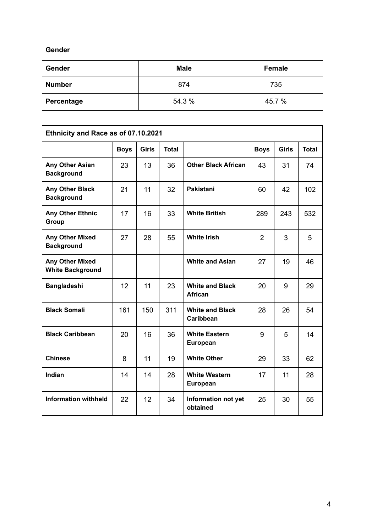## **Gender**

| Gender        | <b>Male</b> | Female |  |
|---------------|-------------|--------|--|
| <b>Number</b> | 874         | 735    |  |
| Percentage    | 54.3 %      | 45.7 % |  |

| Ethnicity and Race as of 07.10.2021               |             |              |              |                                          |                |              |              |  |
|---------------------------------------------------|-------------|--------------|--------------|------------------------------------------|----------------|--------------|--------------|--|
|                                                   | <b>Boys</b> | <b>Girls</b> | <b>Total</b> |                                          | <b>Boys</b>    | <b>Girls</b> | <b>Total</b> |  |
| <b>Any Other Asian</b><br><b>Background</b>       | 23          | 13           | 36           | <b>Other Black African</b>               | 43             | 31           | 74           |  |
| Any Other Black<br><b>Background</b>              | 21          | 11           | 32           | <b>Pakistani</b>                         | 60             | 42           | 102          |  |
| <b>Any Other Ethnic</b><br><b>Group</b>           | 17          | 16           | 33           | <b>White British</b>                     | 289            | 243          | 532          |  |
| Any Other Mixed<br><b>Background</b>              | 27          | 28           | 55           | <b>White Irish</b>                       | $\overline{2}$ | 3            | 5            |  |
| <b>Any Other Mixed</b><br><b>White Background</b> |             |              |              | <b>White and Asian</b>                   | 27             | 19           | 46           |  |
| <b>Bangladeshi</b>                                | 12          | 11           | 23           | <b>White and Black</b><br><b>African</b> | 20             | 9            | 29           |  |
| <b>Black Somali</b>                               | 161         | 150          | 311          | <b>White and Black</b><br>Caribbean      | 28             | 26           | 54           |  |
| <b>Black Caribbean</b>                            | 20          | 16           | 36           | <b>White Eastern</b><br>European         | 9              | 5            | 14           |  |
| <b>Chinese</b>                                    | 8           | 11           | 19           | <b>White Other</b>                       | 29             | 33           | 62           |  |
| Indian                                            | 14          | 14           | 28           | <b>White Western</b><br><b>European</b>  | 17             | 11           | 28           |  |
| <b>Information withheld</b>                       | 22          | 12           | 34           | Information not yet<br>obtained          | 25             | 30           | 55           |  |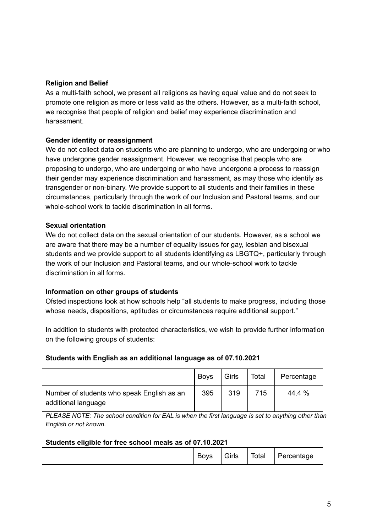## **Religion and Belief**

As a multi-faith school, we present all religions as having equal value and do not seek to promote one religion as more or less valid as the others. However, as a multi-faith school, we recognise that people of religion and belief may experience discrimination and harassment.

## **Gender identity or reassignment**

We do not collect data on students who are planning to undergo, who are undergoing or who have undergone gender reassignment. However, we recognise that people who are proposing to undergo, who are undergoing or who have undergone a process to reassign their gender may experience discrimination and harassment, as may those who identify as transgender or non-binary. We provide support to all students and their families in these circumstances, particularly through the work of our Inclusion and Pastoral teams, and our whole-school work to tackle discrimination in all forms.

### **Sexual orientation**

We do not collect data on the sexual orientation of our students. However, as a school we are aware that there may be a number of equality issues for gay, lesbian and bisexual students and we provide support to all students identifying as LBGTQ+, particularly through the work of our Inclusion and Pastoral teams, and our whole-school work to tackle discrimination in all forms.

### **Information on other groups of students**

Ofsted inspections look at how schools help "all students to make progress, including those whose needs, dispositions, aptitudes or circumstances require additional support."

In addition to students with protected characteristics, we wish to provide further information on the following groups of students:

### **Students with English as an additional language as of 07.10.2021**

|                                                                   | <b>Boys</b> | Girls | Total | Percentage |
|-------------------------------------------------------------------|-------------|-------|-------|------------|
| Number of students who speak English as an<br>additional language | 395         | 319   | 715   | 44.4 %     |

*PLEASE NOTE: The school condition for EAL is when the first language is set to anything other than English or not known.*

### **Students eligible for free school meals as of 07.10.2021**

|  | -<br>Boys | $\sim$ $\sim$<br>Girls | Total | $\overline{\phantom{0}}$<br>Percentage |
|--|-----------|------------------------|-------|----------------------------------------|
|--|-----------|------------------------|-------|----------------------------------------|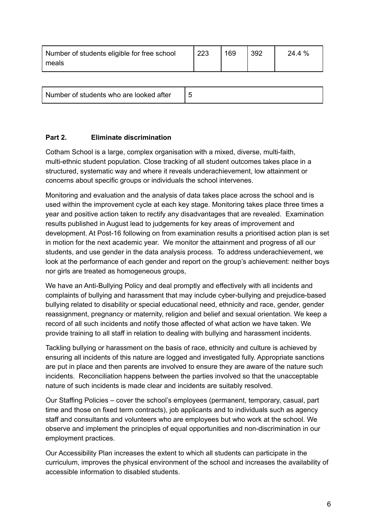| Number of students eligible for free school | 223 | 169 | 392 | 24.4 % |
|---------------------------------------------|-----|-----|-----|--------|
| meals                                       |     |     |     |        |

| Number of students who are looked after |  |
|-----------------------------------------|--|
|-----------------------------------------|--|

## **Part 2. Eliminate discrimination**

Cotham School is a large, complex organisation with a mixed, diverse, multi-faith, multi-ethnic student population. Close tracking of all student outcomes takes place in a structured, systematic way and where it reveals underachievement, low attainment or concerns about specific groups or individuals the school intervenes.

Monitoring and evaluation and the analysis of data takes place across the school and is used within the improvement cycle at each key stage. Monitoring takes place three times a year and positive action taken to rectify any disadvantages that are revealed. Examination results published in August lead to judgements for key areas of improvement and development. At Post-16 following on from examination results a prioritised action plan is set in motion for the next academic year. We monitor the attainment and progress of all our students, and use gender in the data analysis process. To address underachievement, we look at the performance of each gender and report on the group's achievement: neither boys nor girls are treated as homogeneous groups,

We have an Anti-Bullying Policy and deal promptly and effectively with all incidents and complaints of bullying and harassment that may include cyber-bullying and prejudice-based bullying related to disability or special educational need, ethnicity and race, gender, gender reassignment, pregnancy or maternity, religion and belief and sexual orientation. We keep a record of all such incidents and notify those affected of what action we have taken. We provide training to all staff in relation to dealing with bullying and harassment incidents.

Tackling bullying or harassment on the basis of race, ethnicity and culture is achieved by ensuring all incidents of this nature are logged and investigated fully. Appropriate sanctions are put in place and then parents are involved to ensure they are aware of the nature such incidents. Reconciliation happens between the parties involved so that the unacceptable nature of such incidents is made clear and incidents are suitably resolved.

Our Staffing Policies – cover the school's employees (permanent, temporary, casual, part time and those on fixed term contracts), job applicants and to individuals such as agency staff and consultants and volunteers who are employees but who work at the school. We observe and implement the principles of equal opportunities and non-discrimination in our employment practices.

Our Accessibility Plan increases the extent to which all students can participate in the curriculum, improves the physical environment of the school and increases the availability of accessible information to disabled students.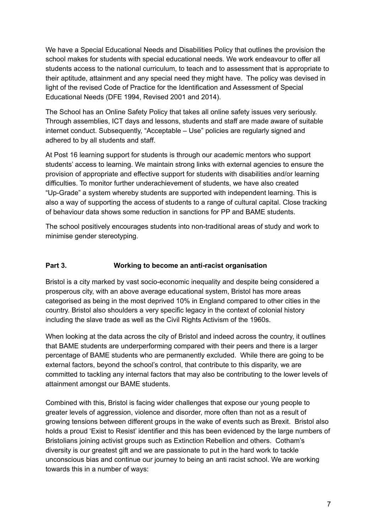We have a Special Educational Needs and Disabilities Policy that outlines the provision the school makes for students with special educational needs. We work endeavour to offer all students access to the national curriculum, to teach and to assessment that is appropriate to their aptitude, attainment and any special need they might have. The policy was devised in light of the revised Code of Practice for the Identification and Assessment of Special Educational Needs (DFE 1994, Revised 2001 and 2014).

The School has an Online Safety Policy that takes all online safety issues very seriously. Through assemblies, ICT days and lessons, students and staff are made aware of suitable internet conduct. Subsequently, "Acceptable – Use" policies are regularly signed and adhered to by all students and staff.

At Post 16 learning support for students is through our academic mentors who support students' access to learning. We maintain strong links with external agencies to ensure the provision of appropriate and effective support for students with disabilities and/or learning difficulties. To monitor further underachievement of students, we have also created "Up-Grade" a system whereby students are supported with independent learning. This is also a way of supporting the access of students to a range of cultural capital. Close tracking of behaviour data shows some reduction in sanctions for PP and BAME students.

The school positively encourages students into non-traditional areas of study and work to minimise gender stereotyping.

## **Part 3. Working to become an anti-racist organisation**

Bristol is a city marked by vast socio-economic inequality and despite being considered a prosperous city, with an above average educational system, Bristol has more areas categorised as being in the most deprived 10% in England compared to other cities in the country. Bristol also shoulders a very specific legacy in the context of colonial history including the slave trade as well as the Civil Rights Activism of the 1960s.

When looking at the data across the city of Bristol and indeed across the country, it outlines that BAME students are underperforming compared with their peers and there is a larger percentage of BAME students who are permanently excluded. While there are going to be external factors, beyond the school's control, that contribute to this disparity, we are committed to tackling any internal factors that may also be contributing to the lower levels of attainment amongst our BAME students.

Combined with this, Bristol is facing wider challenges that expose our young people to greater levels of aggression, violence and disorder, more often than not as a result of growing tensions between different groups in the wake of events such as Brexit. Bristol also holds a proud 'Exist to Resist' identifier and this has been evidenced by the large numbers of Bristolians joining activist groups such as Extinction Rebellion and others. Cotham's diversity is our greatest gift and we are passionate to put in the hard work to tackle unconscious bias and continue our journey to being an anti racist school. We are working towards this in a number of ways: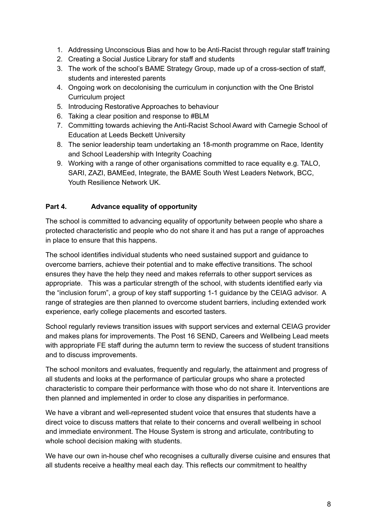- 1. Addressing Unconscious Bias and how to be Anti-Racist through regular staff training
- 2. Creating a Social Justice Library for staff and students
- 3. The work of the school's BAME Strategy Group, made up of a cross-section of staff, students and interested parents
- 4. Ongoing work on decolonising the curriculum in conjunction with the One Bristol Curriculum project
- 5. Introducing Restorative Approaches to behaviour
- 6. Taking a clear position and response to #BLM
- 7. Committing towards achieving the Anti-Racist School Award with Carnegie School of Education at Leeds Beckett University
- 8. The senior leadership team undertaking an 18-month programme on Race, Identity and School Leadership with Integrity Coaching
- 9. Working with a range of other organisations committed to race equality e.g. TALO, SARI, ZAZI, BAMEed, Integrate, the BAME South West Leaders Network, BCC, Youth Resilience Network UK.

## **Part 4. Advance equality of opportunity**

The school is committed to advancing equality of opportunity between people who share a protected characteristic and people who do not share it and has put a range of approaches in place to ensure that this happens.

The school identifies individual students who need sustained support and guidance to overcome barriers, achieve their potential and to make effective transitions. The school ensures they have the help they need and makes referrals to other support services as appropriate. This was a particular strength of the school, with students identified early via the "inclusion forum", a group of key staff supporting 1-1 guidance by the CEIAG advisor. A range of strategies are then planned to overcome student barriers, including extended work experience, early college placements and escorted tasters.

School regularly reviews transition issues with support services and external CEIAG provider and makes plans for improvements. The Post 16 SEND, Careers and Wellbeing Lead meets with appropriate FE staff during the autumn term to review the success of student transitions and to discuss improvements.

The school monitors and evaluates, frequently and regularly, the attainment and progress of all students and looks at the performance of particular groups who share a protected characteristic to compare their performance with those who do not share it. Interventions are then planned and implemented in order to close any disparities in performance.

We have a vibrant and well-represented student voice that ensures that students have a direct voice to discuss matters that relate to their concerns and overall wellbeing in school and immediate environment. The House System is strong and articulate, contributing to whole school decision making with students.

We have our own in-house chef who recognises a culturally diverse cuisine and ensures that all students receive a healthy meal each day. This reflects our commitment to healthy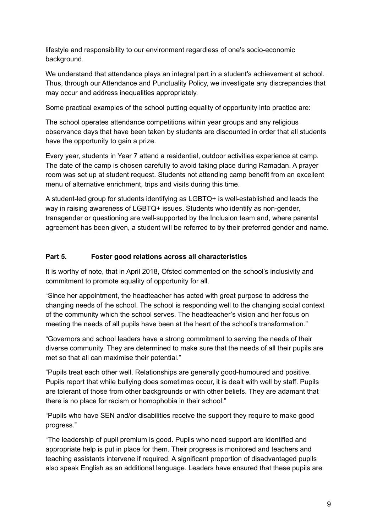lifestyle and responsibility to our environment regardless of one's socio-economic background.

We understand that attendance plays an integral part in a student's achievement at school. Thus, through our Attendance and Punctuality Policy, we investigate any discrepancies that may occur and address inequalities appropriately.

Some practical examples of the school putting equality of opportunity into practice are:

The school operates attendance competitions within year groups and any religious observance days that have been taken by students are discounted in order that all students have the opportunity to gain a prize.

Every year, students in Year 7 attend a residential, outdoor activities experience at camp. The date of the camp is chosen carefully to avoid taking place during Ramadan. A prayer room was set up at student request. Students not attending camp benefit from an excellent menu of alternative enrichment, trips and visits during this time.

A student-led group for students identifying as LGBTQ+ is well-established and leads the way in raising awareness of LGBTQ+ issues. Students who identify as non-gender, transgender or questioning are well-supported by the Inclusion team and, where parental agreement has been given, a student will be referred to by their preferred gender and name.

## **Part 5. Foster good relations across all characteristics**

It is worthy of note, that in April 2018, Ofsted commented on the school's inclusivity and commitment to promote equality of opportunity for all.

"Since her appointment, the headteacher has acted with great purpose to address the changing needs of the school. The school is responding well to the changing social context of the community which the school serves. The headteacher's vision and her focus on meeting the needs of all pupils have been at the heart of the school's transformation."

"Governors and school leaders have a strong commitment to serving the needs of their diverse community. They are determined to make sure that the needs of all their pupils are met so that all can maximise their potential."

"Pupils treat each other well. Relationships are generally good-humoured and positive. Pupils report that while bullying does sometimes occur, it is dealt with well by staff. Pupils are tolerant of those from other backgrounds or with other beliefs. They are adamant that there is no place for racism or homophobia in their school."

"Pupils who have SEN and/or disabilities receive the support they require to make good progress."

"The leadership of pupil premium is good. Pupils who need support are identified and appropriate help is put in place for them. Their progress is monitored and teachers and teaching assistants intervene if required. A significant proportion of disadvantaged pupils also speak English as an additional language. Leaders have ensured that these pupils are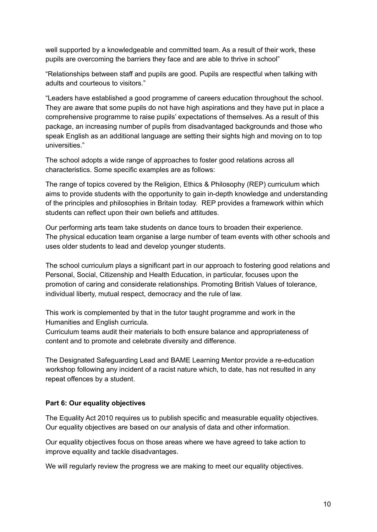well supported by a knowledgeable and committed team. As a result of their work, these pupils are overcoming the barriers they face and are able to thrive in school"

"Relationships between staff and pupils are good. Pupils are respectful when talking with adults and courteous to visitors."

"Leaders have established a good programme of careers education throughout the school. They are aware that some pupils do not have high aspirations and they have put in place a comprehensive programme to raise pupils' expectations of themselves. As a result of this package, an increasing number of pupils from disadvantaged backgrounds and those who speak English as an additional language are setting their sights high and moving on to top universities."

The school adopts a wide range of approaches to foster good relations across all characteristics. Some specific examples are as follows:

The range of topics covered by the Religion, Ethics & Philosophy (REP) curriculum which aims to provide students with the opportunity to gain in-depth knowledge and understanding of the principles and philosophies in Britain today. REP provides a framework within which students can reflect upon their own beliefs and attitudes.

Our performing arts team take students on dance tours to broaden their experience. The physical education team organise a large number of team events with other schools and uses older students to lead and develop younger students.

The school curriculum plays a significant part in our approach to fostering good relations and Personal, Social, Citizenship and Health Education, in particular, focuses upon the promotion of caring and considerate relationships. Promoting British Values of tolerance, individual liberty, mutual respect, democracy and the rule of law.

This work is complemented by that in the tutor taught programme and work in the Humanities and English curricula.

Curriculum teams audit their materials to both ensure balance and appropriateness of content and to promote and celebrate diversity and difference.

The Designated Safeguarding Lead and BAME Learning Mentor provide a re-education workshop following any incident of a racist nature which, to date, has not resulted in any repeat offences by a student.

## **Part 6: Our equality objectives**

The Equality Act 2010 requires us to publish specific and measurable equality objectives. Our equality objectives are based on our analysis of data and other information.

Our equality objectives focus on those areas where we have agreed to take action to improve equality and tackle disadvantages.

We will regularly review the progress we are making to meet our equality objectives.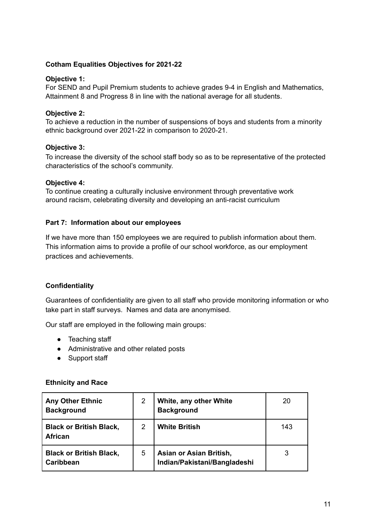### **Cotham Equalities Objectives for 2021-22**

### **Objective 1:**

For SEND and Pupil Premium students to achieve grades 9-4 in English and Mathematics, Attainment 8 and Progress 8 in line with the national average for all students.

### **Objective 2:**

To achieve a reduction in the number of suspensions of boys and students from a minority ethnic background over 2021-22 in comparison to 2020-21.

#### **Objective 3:**

To increase the diversity of the school staff body so as to be representative of the protected characteristics of the school's community.

#### **Objective 4:**

To continue creating a culturally inclusive environment through preventative work around racism, celebrating diversity and developing an anti-racist curriculum

#### **Part 7: Information about our employees**

If we have more than 150 employees we are required to publish information about them. This information aims to provide a profile of our school workforce, as our employment practices and achievements.

### **Confidentiality**

Guarantees of confidentiality are given to all staff who provide monitoring information or who take part in staff surveys. Names and data are anonymised.

Our staff are employed in the following main groups:

- Teaching staff
- Administrative and other related posts
- Support staff

#### **Ethnicity and Race**

| <b>Any Other Ethnic</b><br><b>Background</b>     | 2 | White, any other White<br><b>Background</b>             | 20  |
|--------------------------------------------------|---|---------------------------------------------------------|-----|
| <b>Black or British Black,</b><br><b>African</b> | 2 | <b>White British</b>                                    | 143 |
| <b>Black or British Black,</b><br>Caribbean      | 5 | Asian or Asian British,<br>Indian/Pakistani/Bangladeshi |     |